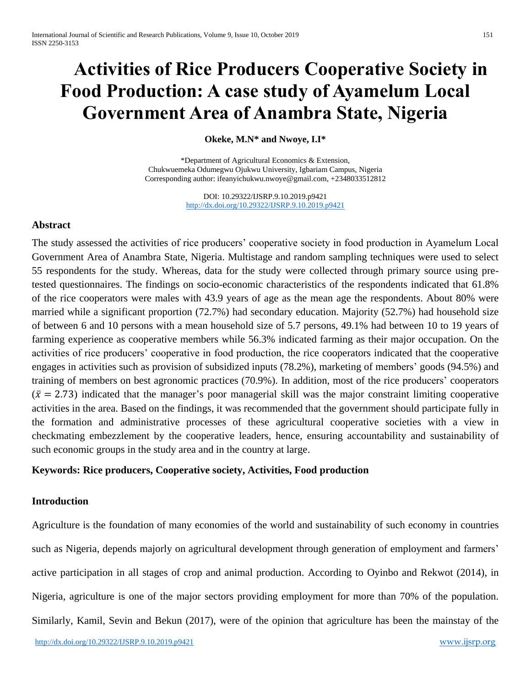# **Activities of Rice Producers Cooperative Society in Food Production: A case study of Ayamelum Local Government Area of Anambra State, Nigeria**

**Okeke, M.N\* and Nwoye, I.I\***

\*Department of Agricultural Economics & Extension, Chukwuemeka Odumegwu Ojukwu University, Igbariam Campus, Nigeria Corresponding author[: ifeanyichukwu.nwoye@gmail.com,](mailto:ifeanyichukwu.nwoye@gmail.com) +2348033512812

> DOI: 10.29322/IJSRP.9.10.2019.p9421 <http://dx.doi.org/10.29322/IJSRP.9.10.2019.p9421>

# **Abstract**

The study assessed the activities of rice producers' cooperative society in food production in Ayamelum Local Government Area of Anambra State, Nigeria. Multistage and random sampling techniques were used to select 55 respondents for the study. Whereas, data for the study were collected through primary source using pretested questionnaires. The findings on socio-economic characteristics of the respondents indicated that 61.8% of the rice cooperators were males with 43.9 years of age as the mean age the respondents. About 80% were married while a significant proportion (72.7%) had secondary education. Majority (52.7%) had household size of between 6 and 10 persons with a mean household size of 5.7 persons, 49.1% had between 10 to 19 years of farming experience as cooperative members while 56.3% indicated farming as their major occupation. On the activities of rice producers' cooperative in food production, the rice cooperators indicated that the cooperative engages in activities such as provision of subsidized inputs (78.2%), marketing of members' goods (94.5%) and training of members on best agronomic practices (70.9%). In addition, most of the rice producers' cooperators  $(\bar{x} = 2.73)$  indicated that the manager's poor managerial skill was the major constraint limiting cooperative activities in the area. Based on the findings, it was recommended that the government should participate fully in the formation and administrative processes of these agricultural cooperative societies with a view in checkmating embezzlement by the cooperative leaders, hence, ensuring accountability and sustainability of such economic groups in the study area and in the country at large.

# **Keywords: Rice producers, Cooperative society, Activities, Food production**

# **Introduction**

Agriculture is the foundation of many economies of the world and sustainability of such economy in countries such as Nigeria, depends majorly on agricultural development through generation of employment and farmers' active participation in all stages of crop and animal production. According to Oyinbo and Rekwot (2014), in Nigeria, agriculture is one of the major sectors providing employment for more than 70% of the population. Similarly, Kamil, Sevin and Bekun (2017), were of the opinion that agriculture has been the mainstay of the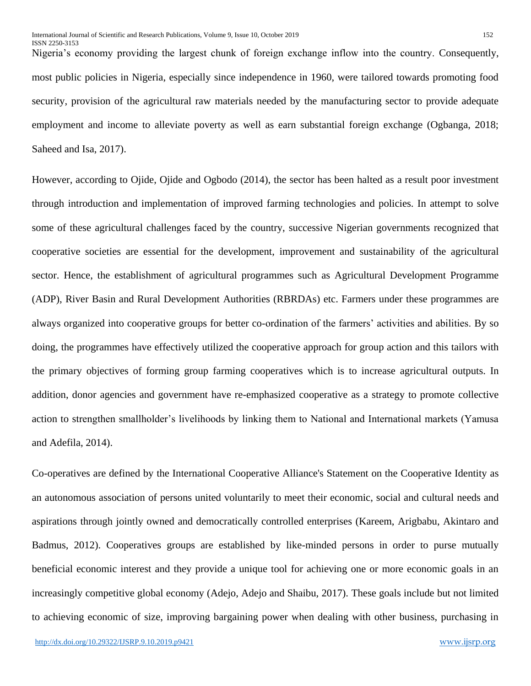Nigeria's economy providing the largest chunk of foreign exchange inflow into the country. Consequently, most public policies in Nigeria, especially since independence in 1960, were tailored towards promoting food security, provision of the agricultural raw materials needed by the manufacturing sector to provide adequate employment and income to alleviate poverty as well as earn substantial foreign exchange (Ogbanga, 2018; Saheed and Isa, 2017).

However, according to Ojide, Ojide and Ogbodo (2014), the sector has been halted as a result poor investment through introduction and implementation of improved farming technologies and policies. In attempt to solve some of these agricultural challenges faced by the country, successive Nigerian governments recognized that cooperative societies are essential for the development, improvement and sustainability of the agricultural sector. Hence, the establishment of agricultural programmes such as Agricultural Development Programme (ADP), River Basin and Rural Development Authorities (RBRDAs) etc. Farmers under these programmes are always organized into cooperative groups for better co-ordination of the farmers' activities and abilities. By so doing, the programmes have effectively utilized the cooperative approach for group action and this tailors with the primary objectives of forming group farming cooperatives which is to increase agricultural outputs. In addition, donor agencies and government have re-emphasized cooperative as a strategy to promote collective action to strengthen smallholder's livelihoods by linking them to National and International markets (Yamusa and Adefila, 2014).

Co-operatives are defined by the International Cooperative Alliance's Statement on the Cooperative Identity as an autonomous association of persons united voluntarily to meet their economic, social and cultural needs and aspirations through jointly owned and democratically controlled enterprises (Kareem, Arigbabu, Akintaro and Badmus, 2012). Cooperatives groups are established by like-minded persons in order to purse mutually beneficial economic interest and they provide a unique tool for achieving one or more economic goals in an increasingly competitive global economy (Adejo, Adejo and Shaibu, 2017). These goals include but not limited to achieving economic of size, improving bargaining power when dealing with other business, purchasing in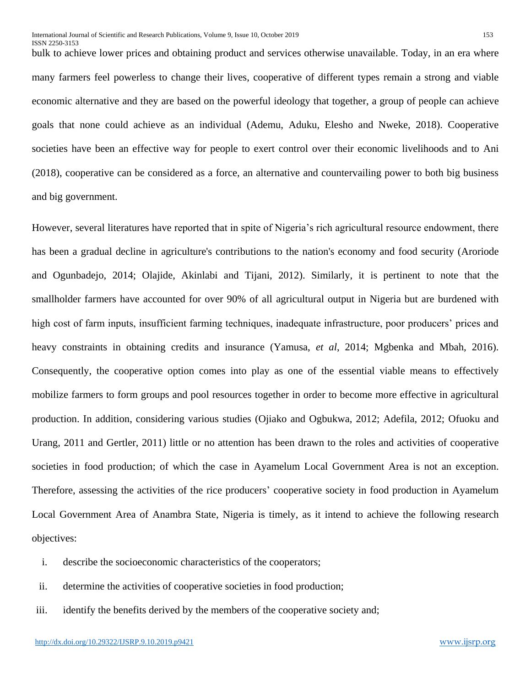bulk to achieve lower prices and obtaining product and services otherwise unavailable. Today, in an era where many farmers feel powerless to change their lives, cooperative of different types remain a strong and viable economic alternative and they are based on the powerful ideology that together, a group of people can achieve goals that none could achieve as an individual (Ademu, Aduku, Elesho and Nweke, 2018). Cooperative societies have been an effective way for people to exert control over their economic livelihoods and to Ani (2018), cooperative can be considered as a force, an alternative and countervailing power to both big business and big government.

However, several literatures have reported that in spite of Nigeria's rich agricultural resource endowment, there has been a gradual decline in agriculture's contributions to the nation's economy and food security (Aroriode and Ogunbadejo, 2014; Olajide, Akinlabi and Tijani, 2012). Similarly, it is pertinent to note that the smallholder farmers have accounted for over 90% of all agricultural output in Nigeria but are burdened with high cost of farm inputs, insufficient farming techniques, inadequate infrastructure, poor producers' prices and heavy constraints in obtaining credits and insurance (Yamusa, *et al*, 2014; Mgbenka and Mbah, 2016). Consequently, the cooperative option comes into play as one of the essential viable means to effectively mobilize farmers to form groups and pool resources together in order to become more effective in agricultural production. In addition, considering various studies (Ojiako and Ogbukwa, 2012; Adefila, 2012; Ofuoku and Urang, 2011 and Gertler, 2011) little or no attention has been drawn to the roles and activities of cooperative societies in food production; of which the case in Ayamelum Local Government Area is not an exception. Therefore, assessing the activities of the rice producers' cooperative society in food production in Ayamelum Local Government Area of Anambra State, Nigeria is timely, as it intend to achieve the following research objectives:

- i. describe the socioeconomic characteristics of the cooperators;
- ii. determine the activities of cooperative societies in food production;
- iii. identify the benefits derived by the members of the cooperative society and;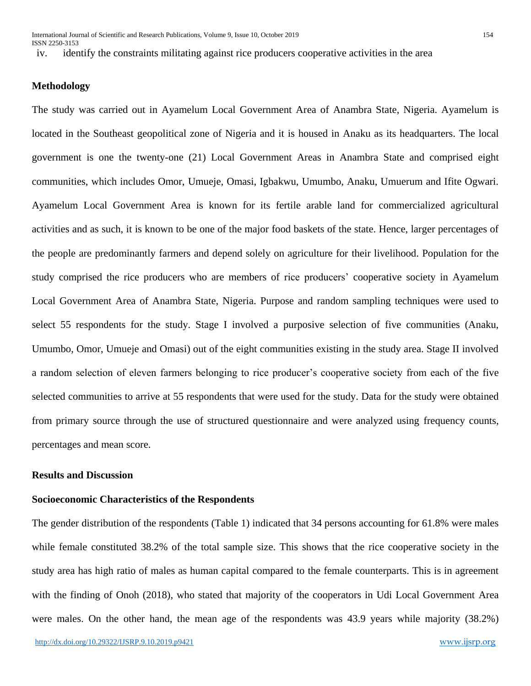ISSN 2250-3153

iv. identify the constraints militating against rice producers cooperative activities in the area

## **Methodology**

The study was carried out in Ayamelum Local Government Area of Anambra State, Nigeria. Ayamelum is located in the Southeast geopolitical zone of Nigeria and it is housed in Anaku as its headquarters. The local government is one the twenty-one (21) Local Government Areas in Anambra State and comprised eight communities, which includes Omor, Umueje, Omasi, Igbakwu, Umumbo, Anaku, Umuerum and Ifite Ogwari. Ayamelum Local Government Area is known for its fertile arable land for commercialized agricultural activities and as such, it is known to be one of the major food baskets of the state. Hence, larger percentages of the people are predominantly farmers and depend solely on agriculture for their livelihood. Population for the study comprised the rice producers who are members of rice producers' cooperative society in Ayamelum Local Government Area of Anambra State, Nigeria. Purpose and random sampling techniques were used to select 55 respondents for the study. Stage I involved a purposive selection of five communities (Anaku, Umumbo, Omor, Umueje and Omasi) out of the eight communities existing in the study area. Stage II involved a random selection of eleven farmers belonging to rice producer's cooperative society from each of the five selected communities to arrive at 55 respondents that were used for the study. Data for the study were obtained from primary source through the use of structured questionnaire and were analyzed using frequency counts, percentages and mean score.

## **Results and Discussion**

### **Socioeconomic Characteristics of the Respondents**

The gender distribution of the respondents (Table 1) indicated that 34 persons accounting for 61.8% were males while female constituted 38.2% of the total sample size. This shows that the rice cooperative society in the study area has high ratio of males as human capital compared to the female counterparts. This is in agreement with the finding of Onoh (2018), who stated that majority of the cooperators in Udi Local Government Area were males. On the other hand, the mean age of the respondents was 43.9 years while majority (38.2%)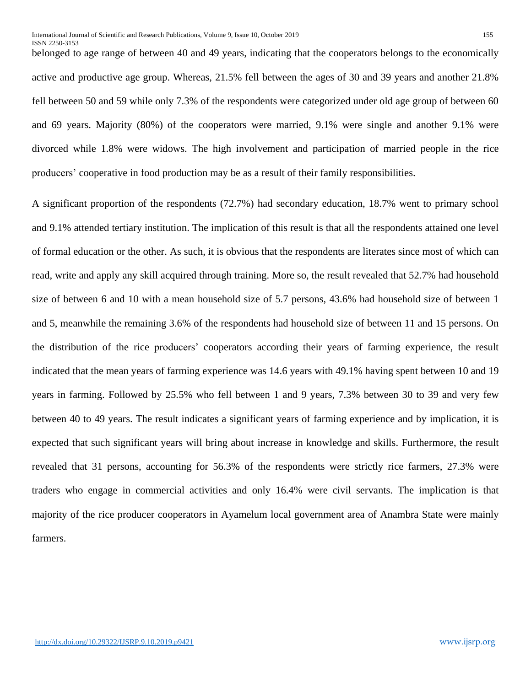belonged to age range of between 40 and 49 years, indicating that the cooperators belongs to the economically active and productive age group. Whereas, 21.5% fell between the ages of 30 and 39 years and another 21.8% fell between 50 and 59 while only 7.3% of the respondents were categorized under old age group of between 60 and 69 years. Majority (80%) of the cooperators were married, 9.1% were single and another 9.1% were divorced while 1.8% were widows. The high involvement and participation of married people in the rice producers' cooperative in food production may be as a result of their family responsibilities.

A significant proportion of the respondents (72.7%) had secondary education, 18.7% went to primary school and 9.1% attended tertiary institution. The implication of this result is that all the respondents attained one level of formal education or the other. As such, it is obvious that the respondents are literates since most of which can read, write and apply any skill acquired through training. More so, the result revealed that 52.7% had household size of between 6 and 10 with a mean household size of 5.7 persons, 43.6% had household size of between 1 and 5, meanwhile the remaining 3.6% of the respondents had household size of between 11 and 15 persons. On the distribution of the rice producers' cooperators according their years of farming experience, the result indicated that the mean years of farming experience was 14.6 years with 49.1% having spent between 10 and 19 years in farming. Followed by 25.5% who fell between 1 and 9 years, 7.3% between 30 to 39 and very few between 40 to 49 years. The result indicates a significant years of farming experience and by implication, it is expected that such significant years will bring about increase in knowledge and skills. Furthermore, the result revealed that 31 persons, accounting for 56.3% of the respondents were strictly rice farmers, 27.3% were traders who engage in commercial activities and only 16.4% were civil servants. The implication is that majority of the rice producer cooperators in Ayamelum local government area of Anambra State were mainly farmers.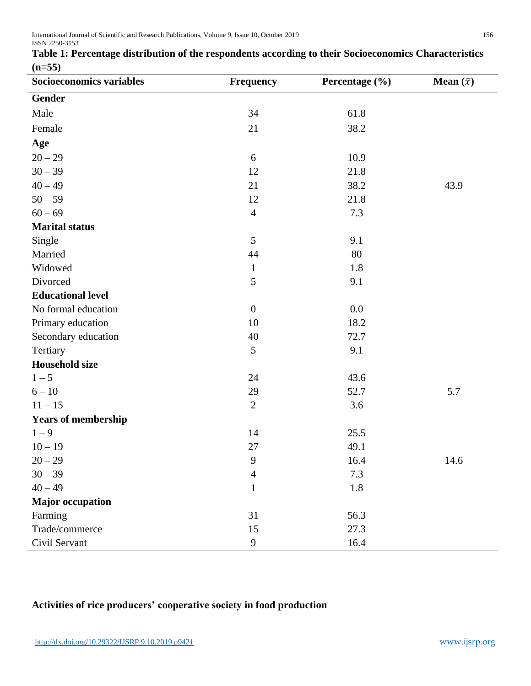| Socioeconomics variables   | <b>Frequency</b> | Percentage (%) | <b>Mean</b> $(\bar{x})$ |
|----------------------------|------------------|----------------|-------------------------|
| <b>Gender</b>              |                  |                |                         |
| Male                       | 34               | 61.8           |                         |
| Female                     | 21               | 38.2           |                         |
| Age                        |                  |                |                         |
| $20 - 29$                  | 6                | 10.9           |                         |
| $30 - 39$                  | 12               | 21.8           |                         |
| $40 - 49$                  | 21               | 38.2           | 43.9                    |
| $50 - 59$                  | 12               | 21.8           |                         |
| $60 - 69$                  | $\overline{4}$   | 7.3            |                         |
| <b>Marital status</b>      |                  |                |                         |
| Single                     | 5                | 9.1            |                         |
| Married                    | 44               | 80             |                         |
| Widowed                    | $\mathbf{1}$     | 1.8            |                         |
| Divorced                   | 5                | 9.1            |                         |
| <b>Educational level</b>   |                  |                |                         |
| No formal education        | $\boldsymbol{0}$ | 0.0            |                         |
| Primary education          | 10               | 18.2           |                         |
| Secondary education        | 40               | 72.7           |                         |
| Tertiary                   | 5                | 9.1            |                         |
| <b>Household size</b>      |                  |                |                         |
| $1 - 5$                    | 24               | 43.6           |                         |
| $6 - 10$                   | 29               | 52.7           | 5.7                     |
| $11 - 15$                  | $\overline{2}$   | 3.6            |                         |
| <b>Years of membership</b> |                  |                |                         |
| $1 - 9$                    | 14               | 25.5           |                         |
| $10 - 19$                  | 27               | 49.1           |                         |
| $20 - 29$                  | 9                | 16.4           | 14.6                    |
| $30 - 39$                  | $\overline{4}$   | 7.3            |                         |
| $40 - 49$                  | $\mathbf{1}$     | $1.8\,$        |                         |
| <b>Major occupation</b>    |                  |                |                         |
| Farming                    | 31               | 56.3           |                         |
| Trade/commerce             | 15               | 27.3           |                         |
| Civil Servant              | 9                | 16.4           |                         |

# **Table 1: Percentage distribution of the respondents according to their Socioeconomics Characteristics (n=55)**

# **Activities of rice producers' cooperative society in food production**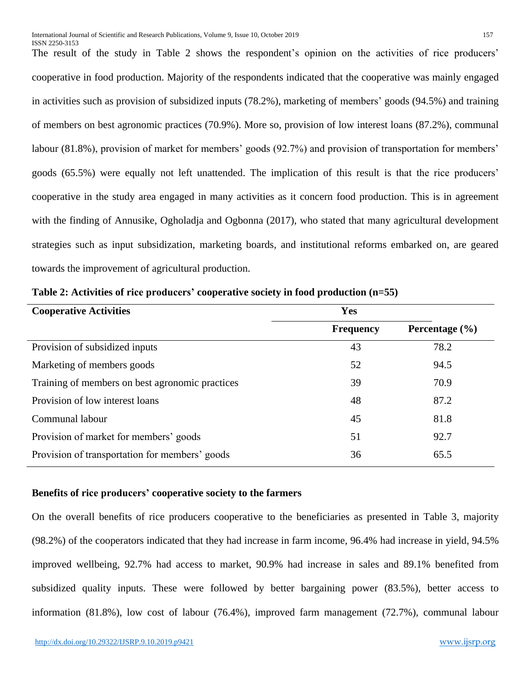The result of the study in Table 2 shows the respondent's opinion on the activities of rice producers' cooperative in food production. Majority of the respondents indicated that the cooperative was mainly engaged in activities such as provision of subsidized inputs (78.2%), marketing of members' goods (94.5%) and training of members on best agronomic practices (70.9%). More so, provision of low interest loans (87.2%), communal labour (81.8%), provision of market for members' goods (92.7%) and provision of transportation for members' goods (65.5%) were equally not left unattended. The implication of this result is that the rice producers' cooperative in the study area engaged in many activities as it concern food production. This is in agreement with the finding of Annusike, Ogholadja and Ogbonna (2017), who stated that many agricultural development strategies such as input subsidization, marketing boards, and institutional reforms embarked on, are geared towards the improvement of agricultural production.

| <b>Cooperative Activities</b>                   | Yes              |                    |
|-------------------------------------------------|------------------|--------------------|
|                                                 | <b>Frequency</b> | Percentage $(\% )$ |
| Provision of subsidized inputs                  | 43               | 78.2               |
| Marketing of members goods                      | 52               | 94.5               |
| Training of members on best agronomic practices | 39               | 70.9               |
| Provision of low interest loans                 | 48               | 87.2               |
| Communal labour                                 | 45               | 81.8               |
| Provision of market for members' goods          | 51               | 92.7               |
| Provision of transportation for members' goods  | 36               | 65.5               |

**Table 2: Activities of rice producers' cooperative society in food production (n=55)**

# **Benefits of rice producers' cooperative society to the farmers**

On the overall benefits of rice producers cooperative to the beneficiaries as presented in Table 3, majority (98.2%) of the cooperators indicated that they had increase in farm income, 96.4% had increase in yield, 94.5% improved wellbeing, 92.7% had access to market, 90.9% had increase in sales and 89.1% benefited from subsidized quality inputs. These were followed by better bargaining power (83.5%), better access to information (81.8%), low cost of labour (76.4%), improved farm management (72.7%), communal labour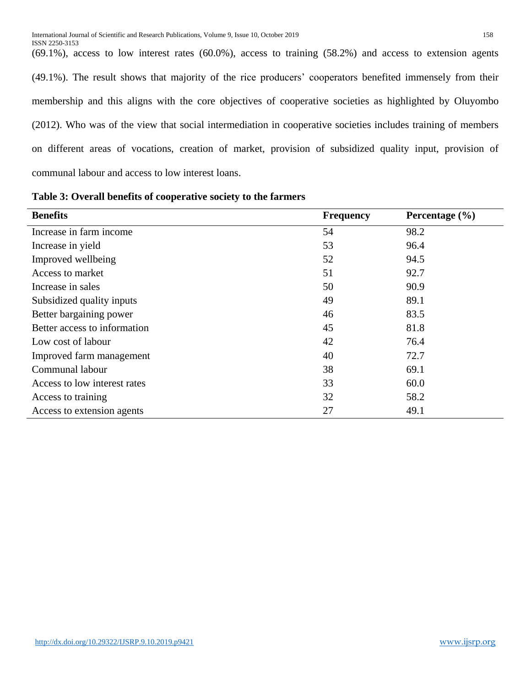(69.1%), access to low interest rates (60.0%), access to training (58.2%) and access to extension agents (49.1%). The result shows that majority of the rice producers' cooperators benefited immensely from their membership and this aligns with the core objectives of cooperative societies as highlighted by Oluyombo (2012). Who was of the view that social intermediation in cooperative societies includes training of members on different areas of vocations, creation of market, provision of subsidized quality input, provision of communal labour and access to low interest loans.

**Table 3: Overall benefits of cooperative society to the farmers**

| <b>Benefits</b>              | <b>Frequency</b> | Percentage $(\% )$ |
|------------------------------|------------------|--------------------|
| Increase in farm income      | 54               | 98.2               |
| Increase in yield            | 53               | 96.4               |
| Improved wellbeing           | 52               | 94.5               |
| Access to market             | 51               | 92.7               |
| Increase in sales            | 50               | 90.9               |
| Subsidized quality inputs    | 49               | 89.1               |
| Better bargaining power      | 46               | 83.5               |
| Better access to information | 45               | 81.8               |
| Low cost of labour           | 42               | 76.4               |
| Improved farm management     | 40               | 72.7               |
| Communal labour              | 38               | 69.1               |
| Access to low interest rates | 33               | 60.0               |
| Access to training           | 32               | 58.2               |
| Access to extension agents   | 27               | 49.1               |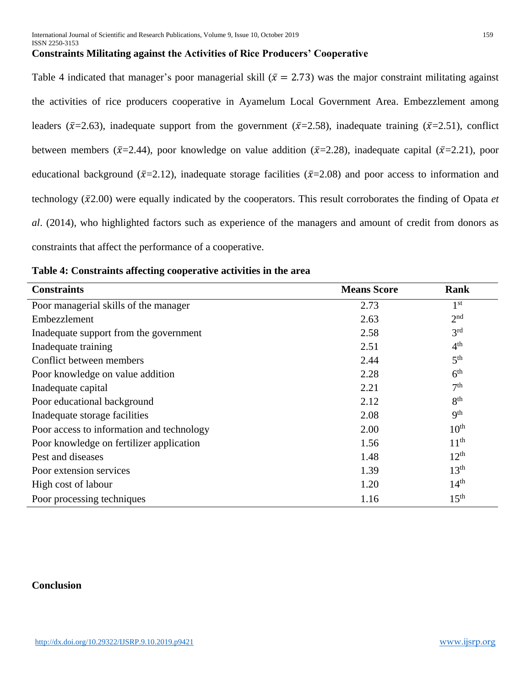# **Constraints Militating against the Activities of Rice Producers' Cooperative**

Table 4 indicated that manager's poor managerial skill ( $\bar{x} = 2.73$ ) was the major constraint militating against the activities of rice producers cooperative in Ayamelum Local Government Area. Embezzlement among leaders ( $\bar{x}$ =2.63), inadequate support from the government ( $\bar{x}$ =2.58), inadequate training ( $\bar{x}$ =2.51), conflict between members ( $\bar{x}$ =2.44), poor knowledge on value addition ( $\bar{x}$ =2.28), inadequate capital ( $\bar{x}$ =2.21), poor educational background ( $\bar{x}$ =2.12), inadequate storage facilities ( $\bar{x}$ =2.08) and poor access to information and technology  $(\bar{x}2.00)$  were equally indicated by the cooperators. This result corroborates the finding of Opata  $et$ *al*. (2014), who highlighted factors such as experience of the managers and amount of credit from donors as constraints that affect the performance of a cooperative.

| <b>Constraints</b>                        | <b>Means Score</b> | <b>Rank</b>      |
|-------------------------------------------|--------------------|------------------|
| Poor managerial skills of the manager     | 2.73               | 1 <sup>st</sup>  |
| Embezzlement                              | 2.63               | 2 <sup>nd</sup>  |
| Inadequate support from the government    | 2.58               | 3 <sup>rd</sup>  |
| Inadequate training                       | 2.51               | 4 <sup>th</sup>  |
| Conflict between members                  | 2.44               | 5 <sup>th</sup>  |
| Poor knowledge on value addition          | 2.28               | 6 <sup>th</sup>  |
| Inadequate capital                        | 2.21               | 7 <sup>th</sup>  |
| Poor educational background               | 2.12               | 8 <sup>th</sup>  |
| Inadequate storage facilities             | 2.08               | 9 <sup>th</sup>  |
| Poor access to information and technology | 2.00               | 10 <sup>th</sup> |
| Poor knowledge on fertilizer application  | 1.56               | 11 <sup>th</sup> |
| Pest and diseases                         | 1.48               | $12^{th}$        |
| Poor extension services                   | 1.39               | 13 <sup>th</sup> |
| High cost of labour                       | 1.20               | 14 <sup>th</sup> |
| Poor processing techniques                | 1.16               | 15 <sup>th</sup> |

**Table 4: Constraints affecting cooperative activities in the area**

### **Conclusion**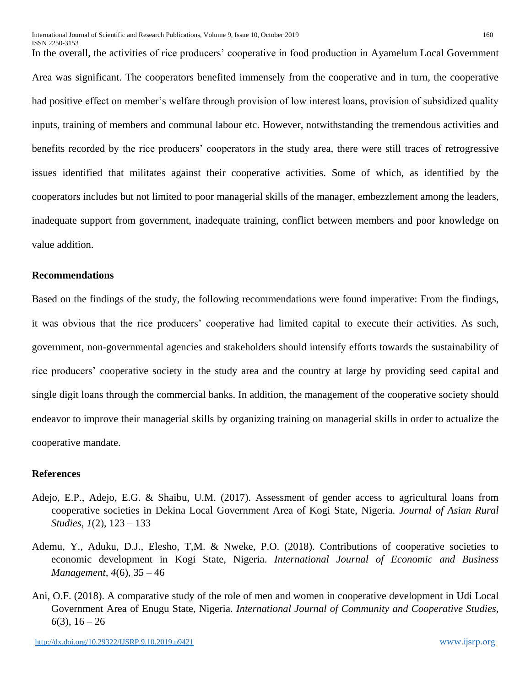In the overall, the activities of rice producers' cooperative in food production in Ayamelum Local Government Area was significant. The cooperators benefited immensely from the cooperative and in turn, the cooperative had positive effect on member's welfare through provision of low interest loans, provision of subsidized quality inputs, training of members and communal labour etc. However, notwithstanding the tremendous activities and benefits recorded by the rice producers' cooperators in the study area, there were still traces of retrogressive issues identified that militates against their cooperative activities. Some of which, as identified by the cooperators includes but not limited to poor managerial skills of the manager, embezzlement among the leaders, inadequate support from government, inadequate training, conflict between members and poor knowledge on value addition.

#### **Recommendations**

Based on the findings of the study, the following recommendations were found imperative: From the findings, it was obvious that the rice producers' cooperative had limited capital to execute their activities. As such, government, non-governmental agencies and stakeholders should intensify efforts towards the sustainability of rice producers' cooperative society in the study area and the country at large by providing seed capital and single digit loans through the commercial banks. In addition, the management of the cooperative society should endeavor to improve their managerial skills by organizing training on managerial skills in order to actualize the cooperative mandate.

#### **References**

- Adejo, E.P., Adejo, E.G. & Shaibu, U.M. (2017). Assessment of gender access to agricultural loans from cooperative societies in Dekina Local Government Area of Kogi State, Nigeria. *Journal of Asian Rural Studies, 1*(2), 123 – 133
- Ademu, Y., Aduku, D.J., Elesho, T,M. & Nweke, P.O. (2018). Contributions of cooperative societies to economic development in Kogi State, Nigeria. *International Journal of Economic and Business Management, 4*(6), 35 – 46
- Ani, O.F. (2018). A comparative study of the role of men and women in cooperative development in Udi Local Government Area of Enugu State, Nigeria. *International Journal of Community and Cooperative Studies,*   $6(3)$ ,  $16-26$